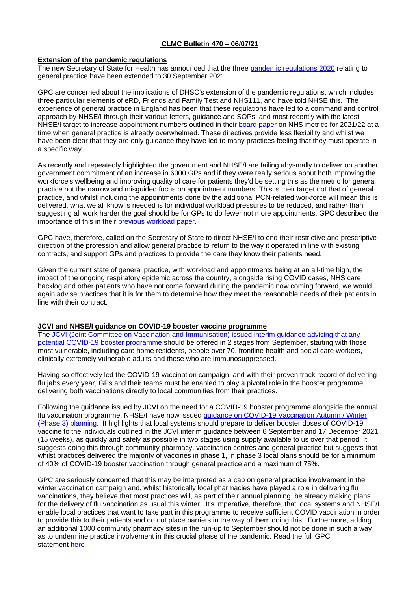# **CLMC Bulletin 470 – 06/07/21**

### **Extension of the pandemic regulations**

The new Secretary of State for Health has announced that the three [pandemic regulations 2020](https://www.legislation.gov.uk/uksi/2020/351/made) relating to general practice have been extended to 30 September 2021.

GPC are concerned about the implications of DHSC's extension of the pandemic regulations, which includes three particular elements of eRD, Friends and Family Test and NHS111, and have told NHSE this. The experience of general practice in England has been that these regulations have led to a command and control approach by NHSE/I through their various letters, guidance and SOPs ,and most recently with the latest NHSE/I target to increase appointment numbers outlined in their [board paper](https://www.england.nhs.uk/wp-content/uploads/2021/06/B0693-nhs-oversight-metrics-for-2021-22.pdf) on NHS metrics for 2021/22 at a time when general practice is already overwhelmed. These directives provide less flexibility and whilst we have been clear that they are only guidance they have led to many practices feeling that they must operate in a specific way.

As recently and repeatedly highlighted the government and NHSE/I are failing abysmally to deliver on another government commitment of an increase in 6000 GPs and if they were really serious about both improving the workforce's wellbeing and improving quality of care for patients they'd be setting this as the metric for general practice not the narrow and misguided focus on appointment numbers. This is their target not that of general practice, and whilst including the appointments done by the additional PCN-related workforce will mean this is delivered, what we all know is needed is for individual workload pressures to be reduced, and rather than suggesting all work harder the goal should be for GPs to do fewer not more appointments. GPC described the importance of this in their [previous workload paper.](https://www.bma.org.uk/media/1145/workload-control-general-practice-mar2018-1.pdf)

GPC have, therefore, called on the Secretary of State to direct NHSE/I to end their restrictive and prescriptive direction of the profession and allow general practice to return to the way it operated in line with existing contracts, and support GPs and practices to provide the care they know their patients need.

Given the current state of general practice, with workload and appointments being at an all-time high, the impact of the ongoing respiratory epidemic across the country, alongside rising COVID cases, NHS care backlog and other patients who have not come forward during the pandemic now coming forward, we would again advise practices that it is for them to determine how they meet the reasonable needs of their patients in line with their contract.

### **JCVI and NHSE/I guidance on COVID-19 booster vaccine programme**

The [JCVI \(Joint Committee on Vaccination and Immunisation\) issued interim guidance advising that any](https://www.gov.uk/government/news/jcvi-issues-interim-advice-on-covid-19-booster-vaccination)  [potential COVID-19 booster programme](https://www.gov.uk/government/news/jcvi-issues-interim-advice-on-covid-19-booster-vaccination) should be offered in 2 stages from September, starting with those most vulnerable, including care home residents, people over 70, frontline health and social care workers, clinically extremely vulnerable adults and those who are immunosuppressed.

Having so effectively led the COVID-19 vaccination campaign, and with their proven track record of delivering flu jabs every year, GPs and their teams must be enabled to play a pivotal role in the booster programme, delivering both vaccinations directly to local communities from their practices.

Following the guidance issued by JCVI on the need for a COVID-19 booster programme alongside the annual flu vaccination programme, NHSE/I have now issued [guidance on COVID-19 Vaccination Autumn / Winter](https://www.england.nhs.uk/coronavirus/publication/covid-19-vaccination-autumn-winter-phase-3-planning/)  [\(Phase 3\) planning.](https://www.england.nhs.uk/coronavirus/publication/covid-19-vaccination-autumn-winter-phase-3-planning/) It highlights that local systems should prepare to deliver booster doses of COVID-19 vaccine to the individuals outlined in the JCVI interim guidance between 6 September and 17 December 2021 (15 weeks), as quickly and safely as possible in two stages using supply available to us over that period. It suggests doing this through community pharmacy, vaccination centres and general practice but suggests that whilst practices delivered the majority of vaccines in phase 1, in phase 3 local plans should be for a minimum of 40% of COVID-19 booster vaccination through general practice and a maximum of 75%.

GPC are seriously concerned that this may be interpreted as a cap on general practice involvement in the winter vaccination campaign and, whilst historically local pharmacies have played a role in delivering flu vaccinations, they believe that most practices will, as part of their annual planning, be already making plans for the delivery of flu vaccination as usual this winter. It's imperative, therefore, that local systems and NHSE/I enable local practices that want to take part in this programme to receive sufficient COVID vaccination in order to provide this to their patients and do not place barriers in the way of them doing this. Furthermore, adding an additional 1000 community pharmacy sites in the run-up to September should not be done in such a way as to undermine practice involvement in this crucial phase of the pandemic. Read the full GPC statement [here](https://www.bma.org.uk/bma-media-centre/good-to-hear-planning-is-already-underway-for-covid-19-booster-programme-says-bma)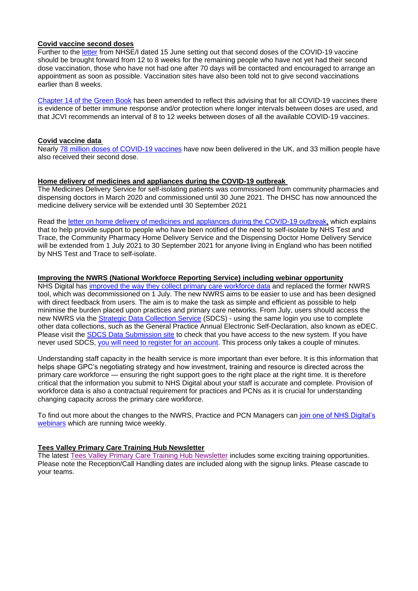### **Covid vaccine second doses**

Further to the [letter](https://www.england.nhs.uk/coronavirus/wp-content/uploads/sites/52/2021/06/C1324-Letter-to-vaccination-sites-15-June-2021.pdf) from NHSE/I dated 15 June setting out that second doses of the COVID-19 vaccine should be brought forward from 12 to 8 weeks for the remaining people who have not yet had their second dose vaccination, those who have not had one after 70 days will be contacted and encouraged to arrange an appointment as soon as possible. Vaccination sites have also been told not to give second vaccinations earlier than 8 weeks.

[Chapter 14 of the Green Book](https://www.gov.uk/government/publications/covid-19-the-green-book-chapter-14a) has been amended to reflect this advising that for all COVID-19 vaccines there is evidence of better immune response and/or protection where longer intervals between doses are used, and that JCVI recommends an interval of 8 to 12 weeks between doses of all the available COVID-19 vaccines.

## **Covid vaccine data**

Nearly [78 million doses of COVID-19 vaccines](https://coronavirus.data.gov.uk/details/vaccinations) have now been delivered in the UK, and 33 million people have also received their second dose.

## **Home delivery of medicines and appliances during the COVID-19 outbreak**

The Medicines Delivery Service for self-isolating patients was commissioned from community pharmacies and dispensing doctors in March 2020 and commissioned until 30 June 2021. The DHSC has now announced the medicine delivery service will be extended until 30 September 2021

Read the [letter on home delivery of medicines and appliances during the](https://www.england.nhs.uk/coronavirus/publication/preparedness-letters-for-community-pharmacy/) COVID-19 outbreak, which explains that to help provide support to people who have been notified of the need to self-isolate by NHS Test and Trace, the Community Pharmacy Home Delivery Service and the Dispensing Doctor Home Delivery Service will be extended from 1 July 2021 to 30 September 2021 for anyone living in England who has been notified by NHS Test and Trace to self-isolate.

## **Improving the NWRS (National Workforce Reporting Service) including webinar opportunity**

NHS Digital has [improved the way they collect primary care workforce data](https://digital.nhs.uk/data-and-information/areas-of-interest/workforce/national-workforce-reporting-system-nwrs-workforce-census-module/the-new-national-workforce-reporting-service) and replaced the former NWRS tool, which was decommissioned on 1 July. The new NWRS aims to be easier to use and has been designed with direct feedback from users. The aim is to make the task as simple and efficient as possible to help minimise the burden placed upon practices and primary care networks. From July, users should access the new NWRS via the **[Strategic Data Collection Service](https://datacollection.sdcs.digital.nhs.uk/)** (SDCS) - using the same login you use to complete other data collections, such as the General Practice Annual Electronic Self-Declaration, also known as eDEC. Please visit the [SDCS Data Submission site](https://datacollection.sdcs.digital.nhs.uk/) to check that you have access to the new system. If you have never used SDCS, [you will need to register for an account.](https://datacollection.sdcs.digital.nhs.uk/) This process only takes a couple of minutes.

Understanding staff capacity in the health service is more important than ever before. It is this information that helps shape GPC's negotiating strategy and how investment, training and resource is directed across the primary care workforce — ensuring the right support goes to the right place at the right time. It is therefore critical that the information you submit to NHS Digital about your staff is accurate and complete. Provision of workforce data is also a contractual requirement for practices and PCNs as it is crucial for understanding changing capacity across the primary care workforce.

To find out more about the changes to the NWRS, Practice and PCN Managers can [join one of NHS Digital's](https://elinkeu.clickdimensions.com/c/6/?T=NTgyNTUzNzk%3AcDEtYjIxMTQ4LTE5MGM3NmVkY2IyNjQ4OGNiMzBmNzgwNjRmYmNhN2Rl%3AcmFjaGVsLmNhcnJpbmd0b25AbmhzLm5ldA%3AbGVhZC05MzUwZGVjOWJjYmZlYjExODIzNTAwMjI0ODFhNmUyMS00N2JhOTBlNTg1Y2E0MmQxYTQwNzc3M2RkNjZhYmFlMw%3AZmFsc2U%3AMQ%3A%3AaHR0cHM6Ly9kaWdpdGFsLm5ocy51ay9kYXRhLWFuZC1pbmZvcm1hdGlvbi9hcmVhcy1vZi1pbnRlcmVzdC93b3JrZm9yY2UvbmF0aW9uYWwtd29ya2ZvcmNlLXJlcG9ydGluZy1zeXN0ZW0tbndycy13b3JrZm9yY2UtY2Vuc3VzLW1vZHVsZS93ZWJpbmFycz9fY2xkZWU9Y21GamFHVnNMbU5oY25KcGJtZDBiMjVBYm1oekxtNWxkQSUzZCUzZCZyZWNpcGllbnRpZD1sZWFkLTkzNTBkZWM5YmNiZmViMTE4MjM1MDAyMjQ4MWE2ZTIxLTQ3YmE5MGU1ODVjYTQyZDFhNDA3NzczZGQ2NmFiYWUzJmVzaWQ9YTMwZTYyMTQtZGNiZS1lYjExLWJhY2MtMDAyMjQ4MWE5YTRm&K=UXigbmVjo99CrIl8Ujh4qg)  [webinars](https://elinkeu.clickdimensions.com/c/6/?T=NTgyNTUzNzk%3AcDEtYjIxMTQ4LTE5MGM3NmVkY2IyNjQ4OGNiMzBmNzgwNjRmYmNhN2Rl%3AcmFjaGVsLmNhcnJpbmd0b25AbmhzLm5ldA%3AbGVhZC05MzUwZGVjOWJjYmZlYjExODIzNTAwMjI0ODFhNmUyMS00N2JhOTBlNTg1Y2E0MmQxYTQwNzc3M2RkNjZhYmFlMw%3AZmFsc2U%3AMQ%3A%3AaHR0cHM6Ly9kaWdpdGFsLm5ocy51ay9kYXRhLWFuZC1pbmZvcm1hdGlvbi9hcmVhcy1vZi1pbnRlcmVzdC93b3JrZm9yY2UvbmF0aW9uYWwtd29ya2ZvcmNlLXJlcG9ydGluZy1zeXN0ZW0tbndycy13b3JrZm9yY2UtY2Vuc3VzLW1vZHVsZS93ZWJpbmFycz9fY2xkZWU9Y21GamFHVnNMbU5oY25KcGJtZDBiMjVBYm1oekxtNWxkQSUzZCUzZCZyZWNpcGllbnRpZD1sZWFkLTkzNTBkZWM5YmNiZmViMTE4MjM1MDAyMjQ4MWE2ZTIxLTQ3YmE5MGU1ODVjYTQyZDFhNDA3NzczZGQ2NmFiYWUzJmVzaWQ9YTMwZTYyMTQtZGNiZS1lYjExLWJhY2MtMDAyMjQ4MWE5YTRm&K=UXigbmVjo99CrIl8Ujh4qg) which are running twice weekly.

# **Tees Valley Primary Care Training Hub Newsletter**

The latest [Tees Valley Primary Care Training Hub Newsletter](../Desktop/Primary%20Care%20Training%20Hub%20Newsletter%20July%20.pdf%20(5).pdf) includes some exciting training opportunities. Please note the Reception/Call Handling dates are included along with the signup links. Please cascade to your teams.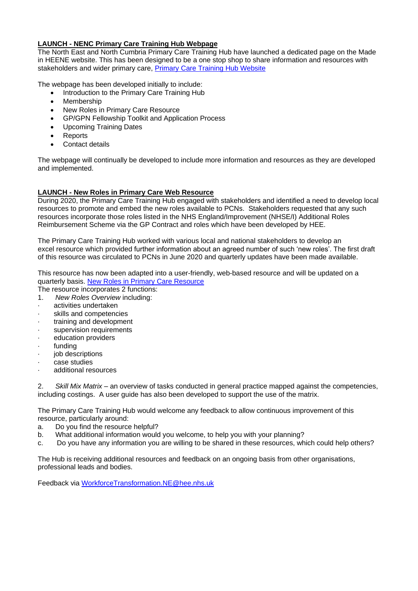# **LAUNCH - NENC Primary Care Training Hub Webpage**

The North East and North Cumbria Primary Care Training Hub have launched a dedicated page on the Made in HEENE website. This has been designed to be a one stop shop to share information and resources with stakeholders and wider primary care, [Primary Care Training Hub Website](https://madeinheene.hee.nhs.uk/general_practice/Primary-Care-Training-Hub)

The webpage has been developed initially to include:

- Introduction to the Primary Care Training Hub
- Membership
- New Roles in Primary Care Resource
- GP/GPN Fellowship Toolkit and Application Process
- Upcoming Training Dates
- Reports
- Contact details

The webpage will continually be developed to include more information and resources as they are developed and implemented.

# **LAUNCH - New Roles in Primary Care Web Resource**

During 2020, the Primary Care Training Hub engaged with stakeholders and identified a need to develop local resources to promote and embed the new roles available to PCNs. Stakeholders requested that any such resources incorporate those roles listed in the NHS England/Improvement (NHSE/I) Additional Roles Reimbursement Scheme via the GP Contract and roles which have been developed by HEE.

The Primary Care Training Hub worked with various local and national stakeholders to develop an excel resource which provided further information about an agreed number of such 'new roles'. The first draft of this resource was circulated to PCNs in June 2020 and quarterly updates have been made available.

This resource has now been adapted into a user-friendly, web-based resource and will be updated on a quarterly basis. [New Roles in Primary Care Resource](https://madeinheene.hee.nhs.uk/general_practice/Primary-Care-Training-Hub/New-Roles-in-Primary-Care-Resource)

The resource incorporates 2 functions:

- 1. *New Roles Overview* including:
- activities undertaken
- skills and competencies
- training and development
- supervision requirements
- education providers
- · funding
- iob descriptions
- · case studies
- additional resources

2. *Skill Mix Matrix* – an overview of tasks conducted in general practice mapped against the competencies, including costings. A user guide has also been developed to support the use of the matrix.

The Primary Care Training Hub would welcome any feedback to allow continuous improvement of this resource, particularly around:

- a. Do you find the resource helpful?
- b. What additional information would you welcome, to help you with your planning?
- c. Do you have any information you are willing to be shared in these resources, which could help others?

The Hub is receiving additional resources and feedback on an ongoing basis from other organisations, professional leads and bodies.

Feedback via [WorkforceTransformation.NE@hee.nhs.uk](mailto:WorkforceTransformation.NE@hee.nhs.uk)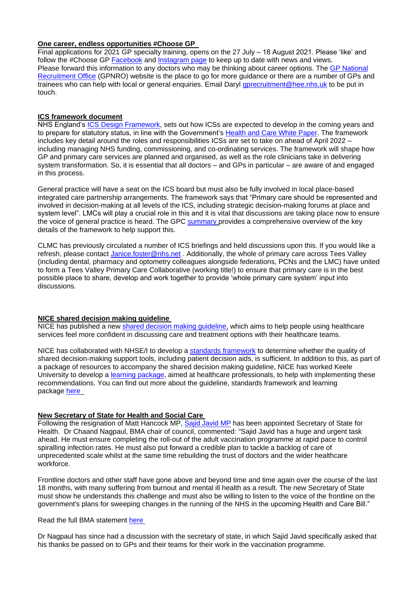## **One career, endless opportunities #Choose GP**

Final applications for 2021 GP specialty training, opens on the 27 July – 18 August 2021. Please 'like' and follow the #Choose GP [Facebook](https://www.facebook.com/ChooseGP/) and [Instagram page](https://www.instagram.com/choose_general_practice/?hl=en) to keep up to date with news and views. Please forward this information to any doctors who may be thinking about career options. The [GP National](https://gprecruitment.hee.nhs.uk/choose-gp/)  [Recruitment Office](https://gprecruitment.hee.nhs.uk/choose-gp/) (GPNRO) website is the place to go for more guidance or there are a number of GPs and trainees who can help with local or general enquiries. Email Daryl [gprecruitment@hee.nhs.uk](mailto:gprecruitment@hee.nhs.uk) to be put in touch.

## **ICS framework document**

NHS England's [ICS Design Framework,](https://www.england.nhs.uk/publication/integrated-care-systems-design-framework/) sets out how ICSs are expected to develop in the coming years and to prepare for statutory status, in line with the Government's [Health and Care White Paper.](https://www.bma.org.uk/media/3814/bma-member-briefing-gov-nhs-reform-feb-2021.pdf) The framework includes key detail around the roles and responsibilities ICSs are set to take on ahead of April 2022 – including managing NHS funding, commissioning, and co-ordinating services. The framework will shape how GP and primary care services are planned and organised, as well as the role clinicians take in delivering system transformation. So, it is essential that all doctors – and GPs in particular – are aware of and engaged in this process.

General practice will have a seat on the ICS board but must also be fully involved in local place-based integrated care partnership arrangements. The framework says that "Primary care should be represented and involved in decision-making at all levels of the ICS, including strategic decision-making forums at place and system level". LMCs will play a crucial role in this and it is vital that discussions are taking place now to ensure the voice of general practice is heard. The GPC [summary](https://www.bma.org.uk/media/4287/bma-briefing-on-nhs-england-ics-design-framework-july21.pdf) provides a comprehensive overview of the key details of the framework to help support this.

CLMC has previously circulated a number of ICS briefings and held discussions upon this. If you would like a refresh, please contact [Janice.foster@nhs.net](mailto:Janice.foster@nhs.net) . Additionally, the whole of primary care across Tees Valley (including dental, pharmacy and optometry colleagues alongside federations, PCNs and the LMC) have united to form a Tees Valley Primary Care Collaborative (working title!) to ensure that primary care is in the best possible place to share, develop and work together to provide 'whole primary care system' input into discussions.

# **NICE shared decision making guideline**

NICE has published a new [shared decision making guideline,](https://www.nice.org.uk/guidance/ng197) which aims to help people using healthcare services feel more confident in discussing care and treatment options with their healthcare teams.

NICE has collaborated with NHSE/I to develop a [standards framework](https://www.nice.org.uk/corporate/ecd8) to determine whether the quality of shared decision-making support tools, including patient decision aids, is sufficient. In addition to this, as part of a package of resources to accompany the shared decision making guideline, NICE has worked Keele University to develop a [learning package,](https://forms.office.com/pages/responsepage.aspx?id=7vO7K2i2-U2wY1mJRcPUZnTKKApclCdFlad4fn0JPONUM0U2RDlPOTBDNzc5UEE0Sjk0UkFKRVoxSC4u) aimed at healthcare professionals, to help with implementing these recommendations. You can find out more about the guideline, standards framework and learning package [here](http://bit.ly/NICE-SDM)

# **New Secretary of State for Health and Social Care**

Following the resignation of Matt Hancock MP, [Sajid Javid MP](https://www.gov.uk/government/news/secretary-of-state-for-health-and-social-care-sajid-javid-prioritises-ending-pandemic) has been appointed Secretary of State for Health. Dr Chaand Nagpaul, BMA chair of council, commented: "Sajid Javid has a huge and urgent task ahead. He must ensure completing the roll-out of the adult vaccination programme at rapid pace to control spiralling infection rates. He must also put forward a credible plan to tackle a backlog of care of unprecedented scale whilst at the same time rebuilding the trust of doctors and the wider healthcare workforce.

Frontline doctors and other staff have gone above and beyond time and time again over the course of the last 18 months, with many suffering from burnout and mental ill health as a result. The new Secretary of State must show he understands this challenge and must also be willing to listen to the voice of the frontline on the government's plans for sweeping changes in the running of the NHS in the upcoming Health and Care Bill."

### Read the full BMA statement [here](https://www.bma.org.uk/bma-media-centre/bma-says-new-secretary-of-state-for-health-has-a-huge-and-urgent-task-ahead)

Dr Nagpaul has since had a discussion with the secretary of state, in which Sajid Javid specifically asked that his thanks be passed on to GPs and their teams for their work in the vaccination programme.